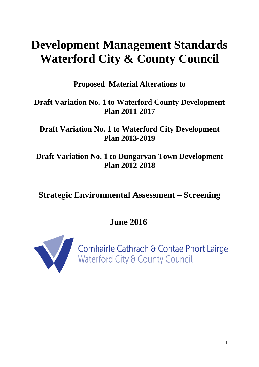# **Development Management Standards Waterford City & County Council**

**Proposed Material Alterations to** 

### **Draft Variation No. 1 to Waterford County Development Plan 2011-2017**

**Draft Variation No. 1 to Waterford City Development Plan 2013-2019** 

**Draft Variation No. 1 to Dungarvan Town Development Plan 2012-2018** 

## **Strategic Environmental Assessment – Screening**

**June 2016** 



Comhairle Cathrach & Contae Phort Láirge<br>Waterford City & County Council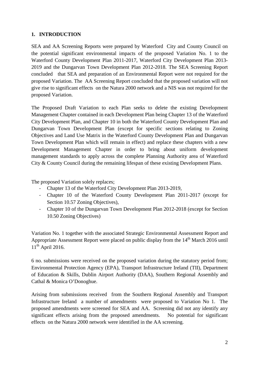#### **1. INTRODUCTION**

SEA and AA Screening Reports were prepared by Waterford City and County Council on the potential significant environmental impacts of the proposed Variation No. 1 to the Waterford County Development Plan 2011-2017, Waterford City Development Plan 2013- 2019 and the Dungarvan Town Development Plan 2012-2018. The SEA Screening Report concluded that SEA and preparation of an Environmental Report were not required for the proposed Variation. The AA Screening Report concluded that the proposed variation will not give rise to significant effects on the Natura 2000 network and a NIS was not required for the proposed Variation.

The Proposed Draft Variation to each Plan seeks to delete the existing Development Management Chapter contained in each Development Plan being Chapter 13 of the Waterford City Development Plan, and Chapter 10 in both the Waterford County Development Plan and Dungarvan Town Development Plan (except for specific sections relating to Zoning Objectives and Land Use Matrix in the Waterford County Development Plan and Dungarvan Town Development Plan which will remain in effect) and replace these chapters with a new Development Management Chapter in order to bring about uniform development management standards to apply across the complete Planning Authority area of Waterford City & County Council during the remaining lifespan of these existing Development Plans.

The proposed Variation solely replaces;

- Chapter 13 of the Waterford City Development Plan 2013-2019,
- Chapter 10 of the Waterford County Development Plan 2011-2017 (except for Section 10.57 Zoning Objectives),
- Chapter 10 of the Dungarvan Town Development Plan 2012-2018 (except for Section 10.50 Zoning Objectives)

Variation No. 1 together with the associated Strategic Environmental Assessment Report and Appropriate Assessment Report were placed on public display from the  $14<sup>th</sup>$  March 2016 until  $11<sup>th</sup>$  April 2016.

6 no. submissions were received on the proposed variation during the statutory period from; Environmental Protection Agency (EPA), Transport Infrastructure Ireland (TII), Department of Education & Skills, Dublin Airport Authority (DAA), Southern Regional Assembly and Cathal & Monica O'Donoghue.

Arising from submissions received from the Southern Regional Assembly and Transport Infrastructure Ireland a number of amendments were proposed to Variation No 1. The proposed amendments were screened for SEA and AA. Screening did not any identify any significant effects arising from the proposed amendments. No potential for significant effects on the Natura 2000 network were identified in the AA screening.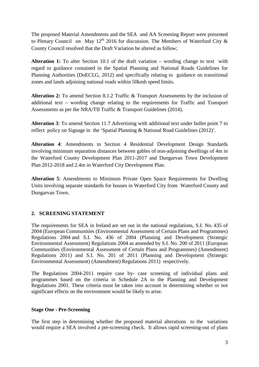The proposed Material Amendments and the SEA and AA Screening Report were presented to Plenary Council on May 12<sup>th</sup> 2016 for discussion. The Members of Waterford City & County Council resolved that the Draft Variation be altered as follow;

**Alteration 1:** To alter Section 10.1 of the draft variation – wording change to text with regard to guidance contained in the Spatial Planning and National Roads Guidelines for Planning Authorities (DoECLG, 2012) and specifically relating to guidance on transitional zones and lands adjoining national roads within 50kmh speed limits.

**Alteration 2:** To amend Section 8.1.2 Traffic & Transport Assessments by the inclusion of additional text – wording change relating to the requirements for Traffic and Transport Assessments as per the NRA/TII Traffic & Transport Guidelines (2014).

**Alteration 3**: To amend Section 11.7 Advertising with additional text under bullet point 7 to reflect policy on Signage in the 'Spatial Planning & National Road Guidelines (2012)'.

**Alteration 4**: Amendments to Section 4 Residential Development Design Standards involving minimum separation distances between gables of non-adjoining dwellings of 4m in the Waterford County Development Plan 2011-2017 and Dungarvan Town Development Plan 2012-2018 and 2.4m in Waterford City Development Plan.

**Alteration 5**: Amendments to Minimum Private Open Space Requirements for Dwelling Units involving separate standards for houses in Waterford City from Waterford County and Dungarvan Town.

#### **2. SCREENING STATEMENT**

The requirements for SEA in Ireland are set out in the national regulations, S.I. No. 435 of 2004 (European Communities (Environmental Assessment of Certain Plans and Programmes) Regulations 2004 and S.I. No. 436 of 2004 (Planning and Development (Strategic Environmental Assessment) Regulations 2004 as amended by S.I. No. 200 of 2011 (European Communities (Environmental Assessment of Certain Plans and Programmes) (Amendment) Regulations 2011) and S.I. No. 201 of 2011 (Planning and Development (Strategic Environmental Assessment) (Amendment) Regulations 2011) respectively.

The Regulations 2004-2011 require case by- case screening of individual plans and programmes based on the criteria in Schedule 2A to the Planning and Development Regulations 2001. These criteria must be taken into account in determining whether or not significant effects on the environment would be likely to arise.

#### **Stage One - Pre-Screening**

The first step in determining whether the proposed material alterations to the variations would require a SEA involved a pre-screening check. It allows rapid screening-out of plans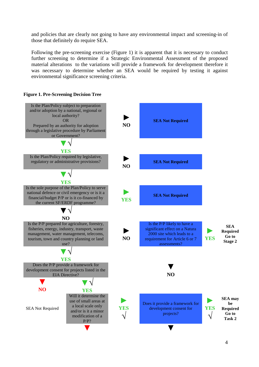and policies that are clearly not going to have any environmental impact and screening-in of those that definitely do require SEA.

Following the pre-screening exercise (Figure 1) it is apparent that it is necessary to conduct further screening to determine if a Strategic Environmental Assessment of the proposed material alterations to the variations will provide a framework for development therefore it was necessary to determine whether an SEA would be required by testing it against environmental significance screening criteria.



#### **Figure 1. Pre-Screening Decision Tree**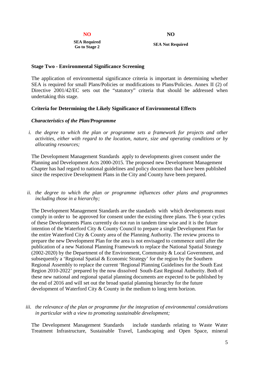**NO NO**

**SEA Required Go to Stage 2 SEA Not Required**

#### **Stage Two - Environmental Significance Screening**

The application of environmental significance criteria is important in determining whether SEA is required for small Plans/Policies or modifications to Plans/Policies. Annex II (2) of Directive 2001/42/EC sets out the "statutory" criteria that should be addressed when undertaking this stage.

#### **Criteria for Determining the Likely Significance of Environmental Effects**

#### *Characteristics of the Plan/Programme*

*i. the degree to which the plan or programme sets a framework for projects and other activities, either with regard to the location, nature, size and operating conditions or by allocating resources;* 

The Development Management Standards apply to developments given consent under the Planning and Development Acts 2000-2015. The proposed new Development Management Chapter has had regard to national guidelines and policy documents that have been published since the respective Development Plans in the City and County have been prepared.

*ii. the degree to which the plan or programme influences other plans and programmes including those in a hierarchy;* 

The Development Management Standards are the standards with which developments must comply in order to be approved for consent under the existing three plans. The 6 year cycles of these Developments Plans currently do not run in tandem time wise and it is the future intention of the Waterford City & County Council to prepare a single Development Plan for the entire Waterford City & County area of the Planning Authority. The review process to prepare the new Development Plan for the area is not envisaged to commence until after the publication of a new National Planning Framework to replace the National Spatial Strategy (2002-2020) by the Department of the Environment, Community & Local Government, and subsequently a 'Regional Spatial & Economic Strategy' for the region by the Southern Regional Assembly to replace the current 'Regional Planning Guidelines for the South East Region 2010-2022' prepared by the now dissolved South-East Regional Authority. Both of these new national and regional spatial planning documents are expected to be published by the end of 2016 and will set out the broad spatial planning hierarchy for the future development of Waterford City & County in the medium to long term horizon.

#### *iii. the relevance of the plan or programme for the integration of environmental considerations in particular with a view to promoting sustainable development;*

The Development Management Standards include standards relating to Waste Water Treatment Infrastructure, Sustainable Travel, Landscaping and Open Space, mineral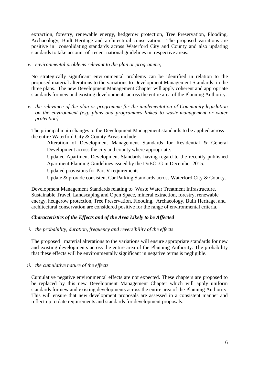extraction, forestry, renewable energy, hedgerow protection, Tree Preservation, Flooding, Archaeology, Built Heritage and architectural conservation. The proposed variations are positive in consolidating standards across Waterford City and County and also updating standards to take account of recent national guidelines in respective areas.

#### *iv. environmental problems relevant to the plan or programme;*

No strategically significant environmental problems can be identified in relation to the proposed material alterations to the variations to Development Management Standards in the three plans. The new Development Management Chapter will apply coherent and appropriate standards for new and existing developments across the entire area of the Planning Authority.

*v. the relevance of the plan or programme for the implementation of Community legislation on the environment (e.g. plans and programmes linked to waste-management or water protection).* 

The principal main changes to the Development Management standards to be applied across the entire Waterford City & County Areas include;

- Alteration of Development Management Standards for Residential & General Development across the city and county where appropriate.
- Updated Apartment Development Standards having regard to the recently published Apartment Planning Guidelines issued by the DoECLG in December 2015.
- Updated provisions for Part V requirements.
- Update & provide consistent Car Parking Standards across Waterford City & County.

Development Management Standards relating to Waste Water Treatment Infrastructure, Sustainable Travel, Landscaping and Open Space, mineral extraction, forestry, renewable energy, hedgerow protection, Tree Preservation, Flooding, Archaeology, Built Heritage, and architectural conservation are considered positive for the range of environmental criteria.

#### *Characteristics of the Effects and of the Area Likely to be Affected*

#### *i. the probability, duration, frequency and reversibility of the effects*

The proposed material alterations to the variations will ensure appropriate standards for new and existing developments across the entire area of the Planning Authority. The probability that these effects will be environmentally significant in negative terms is negligible.

#### *ii. the cumulative nature of the effects*

Cumulative negative environmental effects are not expected. These chapters are proposed to be replaced by this new Development Management Chapter which will apply uniform standards for new and existing developments across the entire area of the Planning Authority. This will ensure that new development proposals are assessed in a consistent manner and reflect up to date requirements and standards for development proposals.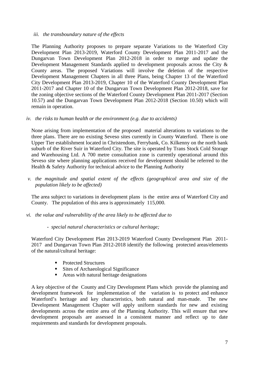#### *iii. the transboundary nature of the effects*

The Planning Authority proposes to prepare separate Variations to the Waterford City Development Plan 2013-2019, Waterford County Development Plan 2011-2017 and the Dungarvan Town Development Plan 2012-2018 in order to merge and update the Development Management Standards applied to development proposals across the City & County areas. The proposed Variations will involve the deletion of the respective Development Management Chapters in all three Plans, being Chapter 13 of the Waterford City Development Plan 2013-2019, Chapter 10 of the Waterford County Development Plan 2011-2017 and Chapter 10 of the Dungarvan Town Development Plan 2012-2018, save for the zoning objective sections of the Waterford County Development Plan 2011-2017 (Section 10.57) and the Dungarvan Town Development Plan 2012-2018 (Section 10.50) which will remain in operation.

#### *iv. the risks to human health or the environment (e.g. due to accidents)*

None arising from implementation of the proposed material alterations to variations to the three plans. There are no existing Seveso sites currently in County Waterford. There is one Upper Tier establishment located in Christendom, Ferrybank, Co. Kilkenny on the north bank suburb of the River Suir in Waterford City. The site is operated by Trans Stock Cold Storage and Warehousing Ltd. A 700 metre consultation zone is currently operational around this Seveso site where planning applications received for development should be referred to the Health & Safety Authority for technical advice to the Planning Authority

*v. the magnitude and spatial extent of the effects (geographical area and size of the population likely to be affected)* 

The area subject to variations in development plans is the entire area of Waterford City and County. The population of this area is approximately 115,000.

- *vi. the value and vulnerability of the area likely to be affected due to* 
	- *special natural characteristics or cultural heritage;*

Waterford City Development Plan 2013-2019 Waterford County Development Plan 2011- 2017 and Dungarvan Town Plan 2012-2018 identify the following protected areas/elements of the natural/cultural heritage:

- Protected Structures
- Sites of Archaeological Significance
- Areas with natural heritage designations

A key objective of the County and City Development Plans which provide the planning and development framework for implementation of the variation is to protect and enhance Waterford's heritage and key characteristics, both natural and man-made. The new Development Management Chapter will apply uniform standards for new and existing developments across the entire area of the Planning Authority. This will ensure that new development proposals are assessed in a consistent manner and reflect up to date requirements and standards for development proposals.